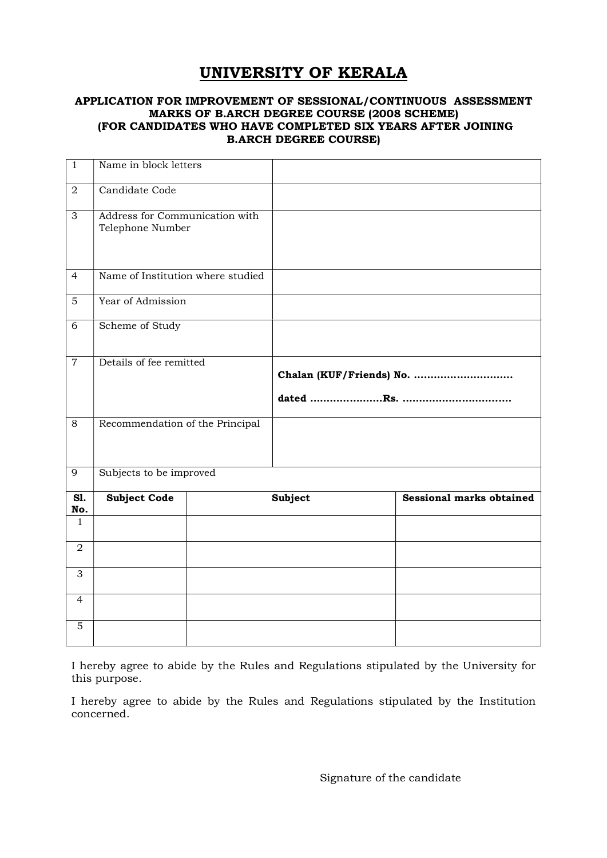## UNIVERSITY OF KERALA

## APPLICATION FOR IMPROVEMENT OF SESSIONAL/CONTINUOUS ASSESSMENT MARKS OF B.ARCH DEGREE COURSE (2008 SCHEME) (FOR CANDIDATES WHO HAVE COMPLETED SIX YEARS AFTER JOINING B.ARCH DEGREE COURSE)

| $1\,$          | Name in block letters                              |         |                          |                                 |
|----------------|----------------------------------------------------|---------|--------------------------|---------------------------------|
| $\overline{2}$ | Candidate Code                                     |         |                          |                                 |
| 3              | Address for Communication with<br>Telephone Number |         |                          |                                 |
| $\overline{4}$ | Name of Institution where studied                  |         |                          |                                 |
| 5              | Year of Admission                                  |         |                          |                                 |
| 6              | Scheme of Study                                    |         |                          |                                 |
| $\overline{7}$ | Details of fee remitted                            |         | Chalan (KUF/Friends) No. |                                 |
| 8              | Recommendation of the Principal                    |         |                          |                                 |
| 9              | Subjects to be improved                            |         |                          |                                 |
| SI.<br>No.     | <b>Subject Code</b>                                | Subject |                          | <b>Sessional marks obtained</b> |
| $\mathbf{1}$   |                                                    |         |                          |                                 |
| $\overline{a}$ |                                                    |         |                          |                                 |
| 3              |                                                    |         |                          |                                 |
| $\overline{4}$ |                                                    |         |                          |                                 |
| 5              |                                                    |         |                          |                                 |

I hereby agree to abide by the Rules and Regulations stipulated by the University for this purpose.

I hereby agree to abide by the Rules and Regulations stipulated by the Institution concerned.

Signature of the candidate